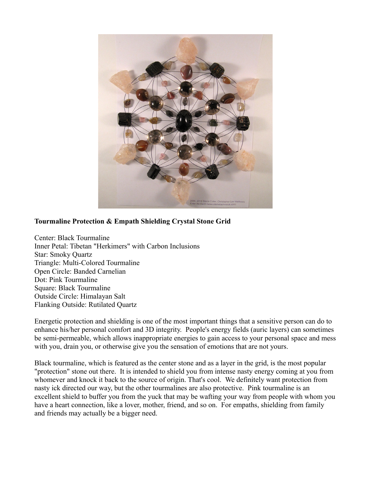

## **Tourmaline Protection & Empath Shielding Crystal Stone Grid**

Center: Black Tourmaline Inner Petal: Tibetan "Herkimers" with Carbon Inclusions Star: Smoky Quartz Triangle: Multi-Colored Tourmaline Open Circle: Banded Carnelian Dot: Pink Tourmaline Square: Black Tourmaline Outside Circle: Himalayan Salt Flanking Outside: Rutilated Quartz

Energetic protection and shielding is one of the most important things that a sensitive person can do to enhance his/her personal comfort and 3D integrity. People's energy fields (auric layers) can sometimes be semi-permeable, which allows inappropriate energies to gain access to your personal space and mess with you, drain you, or otherwise give you the sensation of emotions that are not yours.

Black tourmaline, which is featured as the center stone and as a layer in the grid, is the most popular "protection" stone out there. It is intended to shield you from intense nasty energy coming at you from whomever and knock it back to the source of origin. That's cool. We definitely want protection from nasty ick directed our way, but the other tourmalines are also protective. Pink tourmaline is an excellent shield to buffer you from the yuck that may be wafting your way from people with whom you have a heart connection, like a lover, mother, friend, and so on. For empaths, shielding from family and friends may actually be a bigger need.